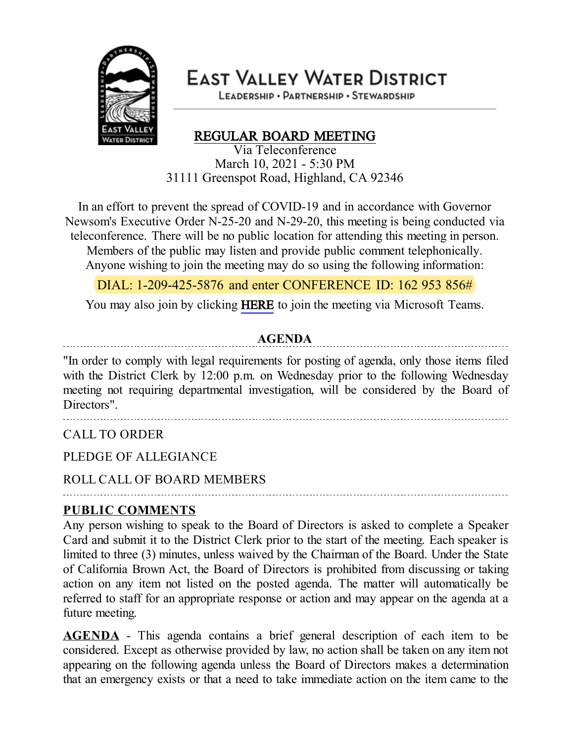

**EAST VALLEY WATER DISTRICT** 

LEADERSHIP · PARTNERSHIP · STEWARDSHIP

# REGULAR BOARD MEETING

Via Teleconference March 10, 2021 - 5:30 PM 31111 Greenspot Road, Highland, CA 92346

In an effort to prevent the spread of COVID-19 and in accordance with Governor Newsom's Executive Order N-25-20 and N-29-20, this meeting is being conducted via teleconference. There will be no public location for attending this meeting in person. Members of the public may listen and provide public comment telephonically. Anyone wishing to join the meeting may do so using the following information:

DIAL: 1-209-425-5876 and enter CONFERENCE ID: 162 953 856#

You may also join by clicking [HERE](https://teams.microsoft.com/l/meetup-join/19%3ameeting_NWQzOGZjOWYtMmE2My00Yjk3LWI0YjYtODUwZTBhY2M3NjY5%40thread.v2/0?context=%7b%22Tid%22%3a%22a7a2c7f0-6722-4779-9733-064fe0e27b1d%22%2c%22Oid%22%3a%22afff86e0-b677-4464-bbd1-5cea678464e6%22%7d) to join the meeting via Microsoft Teams.

#### **AGENDA**

"In order to comply with legal requirements for posting of agenda, only those items filed with the District Clerk by 12:00 p.m. on Wednesday prior to the following Wednesday meeting not requiring departmental investigation, will be considered by the Board of Directors".

CALL TO ORDER

PLEDGE OF ALLEGIANCE

ROLL CALL OF BOARD MEMBERS

#### **PUBLIC COMMENTS**

Any person wishing to speak to the Board of Directors is asked to complete a Speaker Card and submit it to the District Clerk prior to the start of the meeting. Each speaker is limited to three (3) minutes, unless waived by the Chairman of the Board. Under the State of California Brown Act, the Board of Directors is prohibited from discussing or taking action on any item not listed on the posted agenda. The matter will automatically be referred to staff for an appropriate response or action and may appear on the agenda at a future meeting.

**AGENDA** - This agenda contains a brief general description of each item to be considered. Except as otherwise provided by law, no action shall be taken on any item not appearing on the following agenda unless the Board of Directors makes a determination that an emergency exists or that a need to take immediate action on the item came to the